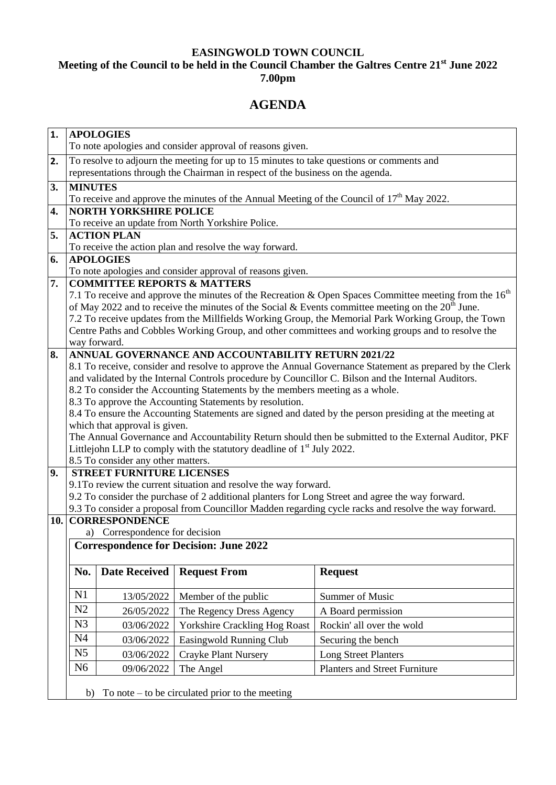## **EASINGWOLD TOWN COUNCIL Meeting of the Council to be held in the Council Chamber the Galtres Centre 21st June 2022 7.00pm**

# **AGENDA**

| $\mathbf{1}$ . | <b>APOLOGIES</b>                                                                                                                                                                                                |                               |                                                                                             |                                      |  |
|----------------|-----------------------------------------------------------------------------------------------------------------------------------------------------------------------------------------------------------------|-------------------------------|---------------------------------------------------------------------------------------------|--------------------------------------|--|
|                | To note apologies and consider approval of reasons given.                                                                                                                                                       |                               |                                                                                             |                                      |  |
| 2.             | To resolve to adjourn the meeting for up to 15 minutes to take questions or comments and<br>representations through the Chairman in respect of the business on the agenda.                                      |                               |                                                                                             |                                      |  |
|                | <b>MINUTES</b>                                                                                                                                                                                                  |                               |                                                                                             |                                      |  |
| 3.             |                                                                                                                                                                                                                 |                               | To receive and approve the minutes of the Annual Meeting of the Council of $17th$ May 2022. |                                      |  |
| 4.             |                                                                                                                                                                                                                 | <b>NORTH YORKSHIRE POLICE</b> |                                                                                             |                                      |  |
|                |                                                                                                                                                                                                                 |                               | To receive an update from North Yorkshire Police.                                           |                                      |  |
| 5.             |                                                                                                                                                                                                                 | <b>ACTION PLAN</b>            |                                                                                             |                                      |  |
|                | To receive the action plan and resolve the way forward.                                                                                                                                                         |                               |                                                                                             |                                      |  |
| 6.             | <b>APOLOGIES</b>                                                                                                                                                                                                |                               |                                                                                             |                                      |  |
| 7.             | To note apologies and consider approval of reasons given.<br><b>COMMITTEE REPORTS &amp; MATTERS</b>                                                                                                             |                               |                                                                                             |                                      |  |
|                | 7.1 To receive and approve the minutes of the Recreation & Open Spaces Committee meeting from the 16 <sup>th</sup>                                                                                              |                               |                                                                                             |                                      |  |
|                | of May 2022 and to receive the minutes of the Social & Events committee meeting on the $20th$ June.                                                                                                             |                               |                                                                                             |                                      |  |
|                | 7.2 To receive updates from the Millfields Working Group, the Memorial Park Working Group, the Town                                                                                                             |                               |                                                                                             |                                      |  |
|                | Centre Paths and Cobbles Working Group, and other committees and working groups and to resolve the                                                                                                              |                               |                                                                                             |                                      |  |
|                | way forward.                                                                                                                                                                                                    |                               |                                                                                             |                                      |  |
| 8.             | ANNUAL GOVERNANCE AND ACCOUNTABILITY RETURN 2021/22                                                                                                                                                             |                               |                                                                                             |                                      |  |
|                | 8.1 To receive, consider and resolve to approve the Annual Governance Statement as prepared by the Clerk<br>and validated by the Internal Controls procedure by Councillor C. Bilson and the Internal Auditors. |                               |                                                                                             |                                      |  |
|                | 8.2 To consider the Accounting Statements by the members meeting as a whole.                                                                                                                                    |                               |                                                                                             |                                      |  |
|                | 8.3 To approve the Accounting Statements by resolution.                                                                                                                                                         |                               |                                                                                             |                                      |  |
|                | 8.4 To ensure the Accounting Statements are signed and dated by the person presiding at the meeting at                                                                                                          |                               |                                                                                             |                                      |  |
|                | which that approval is given.                                                                                                                                                                                   |                               |                                                                                             |                                      |  |
|                | The Annual Governance and Accountability Return should then be submitted to the External Auditor, PKF                                                                                                           |                               |                                                                                             |                                      |  |
|                | Littlejohn LLP to comply with the statutory deadline of 1 <sup>st</sup> July 2022.<br>8.5 To consider any other matters.                                                                                        |                               |                                                                                             |                                      |  |
| 9.             | <b>STREET FURNITURE LICENSES</b>                                                                                                                                                                                |                               |                                                                                             |                                      |  |
|                | 9.1To review the current situation and resolve the way forward.                                                                                                                                                 |                               |                                                                                             |                                      |  |
|                | 9.2 To consider the purchase of 2 additional planters for Long Street and agree the way forward.                                                                                                                |                               |                                                                                             |                                      |  |
|                | 9.3 To consider a proposal from Councillor Madden regarding cycle racks and resolve the way forward.                                                                                                            |                               |                                                                                             |                                      |  |
|                | <b>10. CORRESPONDENCE</b>                                                                                                                                                                                       |                               |                                                                                             |                                      |  |
|                | a) Correspondence for decision<br><b>Correspondence for Decision: June 2022</b>                                                                                                                                 |                               |                                                                                             |                                      |  |
|                |                                                                                                                                                                                                                 |                               |                                                                                             |                                      |  |
|                | No.                                                                                                                                                                                                             | <b>Date Received</b>          | <b>Request From</b>                                                                         | <b>Request</b>                       |  |
|                | N1                                                                                                                                                                                                              | 13/05/2022                    | Member of the public                                                                        | Summer of Music                      |  |
|                | N2                                                                                                                                                                                                              | 26/05/2022                    | The Regency Dress Agency                                                                    | A Board permission                   |  |
|                | N <sub>3</sub>                                                                                                                                                                                                  | 03/06/2022                    | <b>Yorkshire Crackling Hog Roast</b>                                                        | Rockin' all over the wold            |  |
|                | N <sub>4</sub>                                                                                                                                                                                                  | 03/06/2022                    | Easingwold Running Club                                                                     | Securing the bench                   |  |
|                | N <sub>5</sub>                                                                                                                                                                                                  | 03/06/2022                    | Crayke Plant Nursery                                                                        | <b>Long Street Planters</b>          |  |
|                | N <sub>6</sub>                                                                                                                                                                                                  | 09/06/2022                    | The Angel                                                                                   | <b>Planters and Street Furniture</b> |  |
|                |                                                                                                                                                                                                                 |                               |                                                                                             |                                      |  |
|                | To note $-$ to be circulated prior to the meeting<br>b)                                                                                                                                                         |                               |                                                                                             |                                      |  |